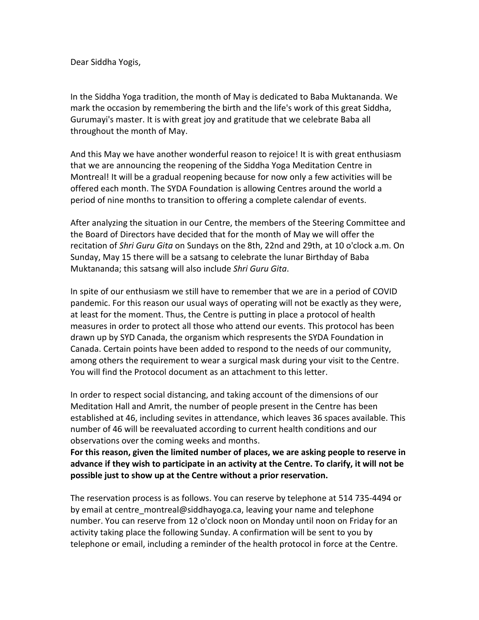Dear Siddha Yogis,

In the Siddha Yoga tradition, the month of May is dedicated to Baba Muktananda. We mark the occasion by remembering the birth and the life's work of this great Siddha, Gurumayi's master. It is with great joy and gratitude that we celebrate Baba all throughout the month of May.

And this May we have another wonderful reason to rejoice! It is with great enthusiasm that we are announcing the reopening of the Siddha Yoga Meditation Centre in Montreal! It will be a gradual reopening because for now only a few activities will be offered each month. The SYDA Foundation is allowing Centres around the world a period of nine months to transition to offering a complete calendar of events.

After analyzing the situation in our Centre, the members of the Steering Committee and the Board of Directors have decided that for the month of May we will offer the recitation of *Shri Guru Gita* on Sundays on the 8th, 22nd and 29th, at 10 o'clock a.m. On Sunday, May 15 there will be a satsang to celebrate the lunar Birthday of Baba Muktananda; this satsang will also include *Shri Guru Gita*.

In spite of our enthusiasm we still have to remember that we are in a period of COVID pandemic. For this reason our usual ways of operating will not be exactly as they were, at least for the moment. Thus, the Centre is putting in place a protocol of health measures in order to protect all those who attend our events. This protocol has been drawn up by SYD Canada, the organism which respresents the SYDA Foundation in Canada. Certain points have been added to respond to the needs of our community, among others the requirement to wear a surgical mask during your visit to the Centre. You will find the Protocol document as an attachment to this letter.

In order to respect social distancing, and taking account of the dimensions of our Meditation Hall and Amrit, the number of people present in the Centre has been established at 46, including sevites in attendance, which leaves 36 spaces available. This number of 46 will be reevaluated according to current health conditions and our observations over the coming weeks and months.

**For this reason, given the limited number of places, we are asking people to reserve in advance if they wish to participate in an activity at the Centre. To clarify, it will not be possible just to show up at the Centre without a prior reservation.**

The reservation process is as follows. You can reserve by telephone at 514 735-4494 or by email at centre montreal@siddhayoga.ca, leaving your name and telephone number. You can reserve from 12 o'clock noon on Monday until noon on Friday for an activity taking place the following Sunday. A confirmation will be sent to you by telephone or email, including a reminder of the health protocol in force at the Centre.